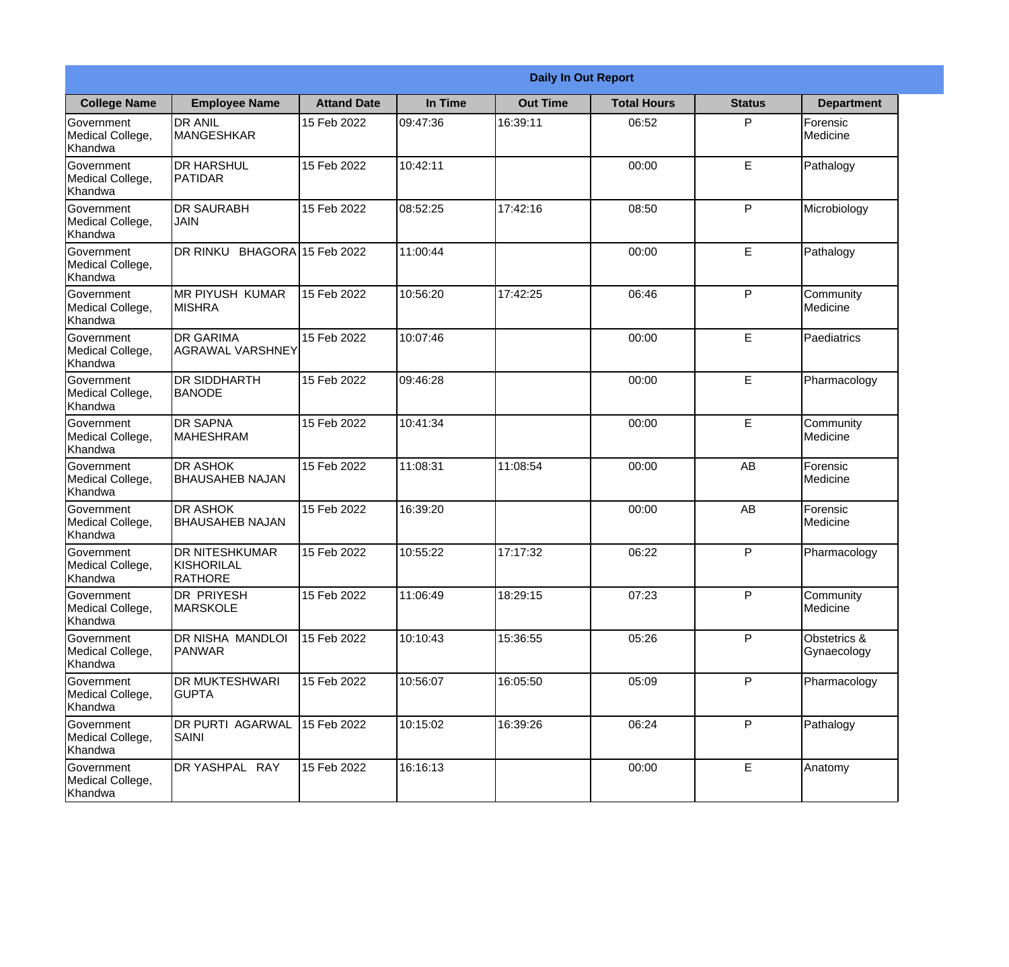|                                                  | <b>Daily In Out Report</b>                                   |                     |          |                 |                    |               |                             |
|--------------------------------------------------|--------------------------------------------------------------|---------------------|----------|-----------------|--------------------|---------------|-----------------------------|
| <b>College Name</b>                              | <b>Employee Name</b>                                         | <b>Attand Date</b>  | In Time  | <b>Out Time</b> | <b>Total Hours</b> | <b>Status</b> | <b>Department</b>           |
| Government<br>Medical College,<br>Khandwa        | <b>DR ANIL</b><br>MANGESHKAR                                 | 15 Feb 2022         | 09:47:36 | 16:39:11        | 06:52              | P             | Forensic<br>Medicine        |
| Government<br>Medical College,<br>Khandwa        | <b>DR HARSHUL</b><br>PATIDAR                                 | 15 Feb 2022         | 10:42:11 |                 | 00:00              | E             | Pathalogy                   |
| Government<br>Medical College,<br>Khandwa        | <b>DR SAURABH</b><br><b>JAIN</b>                             | 15 Feb 2022         | 08:52:25 | 17:42:16        | 08:50              | P             | Microbiology                |
| <b>Government</b><br>Medical College,<br>Khandwa | DR RINKU                                                     | BHAGORA 15 Feb 2022 | 11:00:44 |                 | 00:00              | E             | Pathalogy                   |
| Government<br>Medical College,<br>Khandwa        | <b>MR PIYUSH KUMAR</b><br><b>MISHRA</b>                      | 15 Feb 2022         | 10:56:20 | 17:42:25        | 06:46              | P             | Community<br>Medicine       |
| Government<br>Medical College,<br>Khandwa        | <b>DR GARIMA</b><br><b>AGRAWAL VARSHNEY</b>                  | 15 Feb 2022         | 10:07:46 |                 | 00:00              | E             | Paediatrics                 |
| Government<br>Medical College,<br>Khandwa        | <b>DR SIDDHARTH</b><br><b>BANODE</b>                         | 15 Feb 2022         | 09:46:28 |                 | 00:00              | E             | Pharmacology                |
| Government<br>Medical College,<br>Khandwa        | <b>DR SAPNA</b><br><b>MAHESHRAM</b>                          | 15 Feb 2022         | 10:41:34 |                 | 00:00              | E             | Community<br>Medicine       |
| Government<br>Medical College,<br>Khandwa        | <b>DR ASHOK</b><br><b>BHAUSAHEB NAJAN</b>                    | 15 Feb 2022         | 11:08:31 | 11:08:54        | 00:00              | AB            | Forensic<br>Medicine        |
| Government<br>Medical College,<br>Khandwa        | <b>DR ASHOK</b><br><b>BHAUSAHEB NAJAN</b>                    | 15 Feb 2022         | 16:39:20 |                 | 00:00              | AB            | Forensic<br>Medicine        |
| Government<br>Medical College,<br>Khandwa        | <b>DR NITESHKUMAR</b><br><b>KISHORILAL</b><br><b>RATHORE</b> | 15 Feb 2022         | 10:55:22 | 17:17:32        | 06:22              | P             | Pharmacology                |
| Government<br>Medical College,<br>Khandwa        | DR PRIYESH<br>MARSKOLE                                       | 15 Feb 2022         | 11:06:49 | 18:29:15        | 07:23              | P             | Community<br>Medicine       |
| Government<br>Medical College,<br>Khandwa        | DR NISHA MANDLOI<br>PANWAR                                   | 15 Feb 2022         | 10:10:43 | 15:36:55        | 05:26              | P             | Obstetrics &<br>Gynaecology |
| Government<br>Medical College,<br>Khandwa        | DR MUKTESHWARI<br><b>GUPTA</b>                               | 15 Feb 2022         | 10:56:07 | 16:05:50        | 05:09              | P             | Pharmacology                |
| Government<br>Medical College,<br>Khandwa        | DR PURTI AGARWAL<br><b>SAINI</b>                             | 15 Feb 2022         | 10:15:02 | 16:39:26        | 06:24              | P             | Pathalogy                   |
| Government<br>Medical College,<br>Khandwa        | DR YASHPAL RAY                                               | 15 Feb 2022         | 16:16:13 |                 | 00:00              | E             | Anatomy                     |